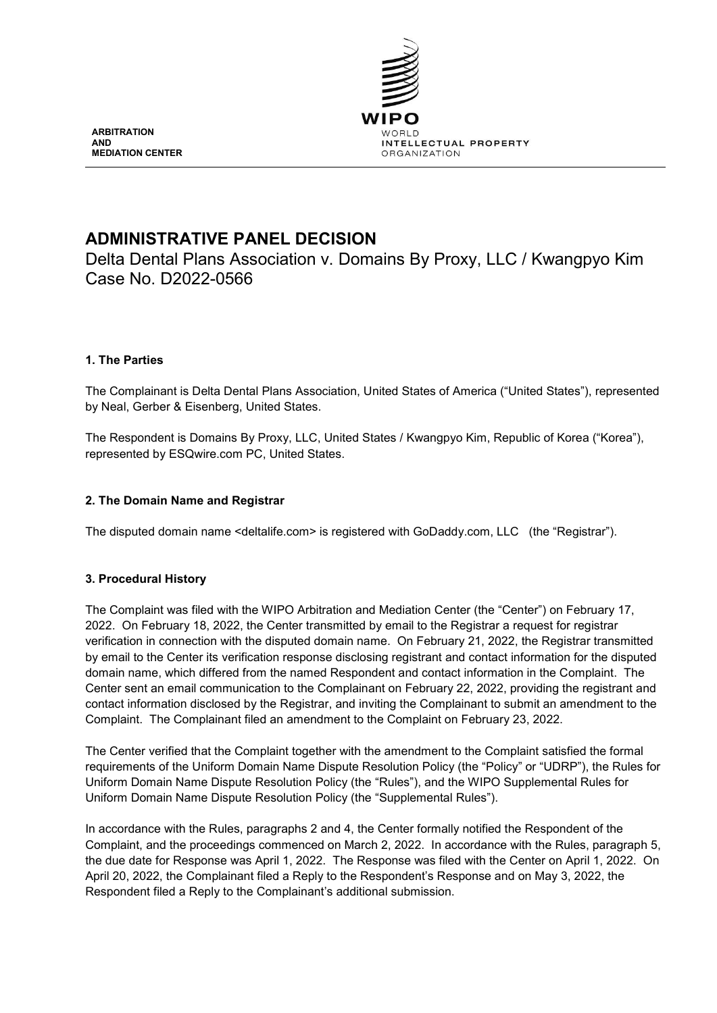

**ARBITRATION AND MEDIATION CENTER**

# **ADMINISTRATIVE PANEL DECISION**

Delta Dental Plans Association v. Domains By Proxy, LLC / Kwangpyo Kim Case No. D2022-0566

# **1. The Parties**

The Complainant is Delta Dental Plans Association, United States of America ("United States"), represented by Neal, Gerber & Eisenberg, United States.

The Respondent is Domains By Proxy, LLC, United States / Kwangpyo Kim, Republic of Korea ("Korea"), represented by ESQwire.com PC, United States.

# **2. The Domain Name and Registrar**

The disputed domain name <deltalife.com> is registered with GoDaddy.com, LLC (the "Registrar").

# **3. Procedural History**

The Complaint was filed with the WIPO Arbitration and Mediation Center (the "Center") on February 17, 2022. On February 18, 2022, the Center transmitted by email to the Registrar a request for registrar verification in connection with the disputed domain name. On February 21, 2022, the Registrar transmitted by email to the Center its verification response disclosing registrant and contact information for the disputed domain name, which differed from the named Respondent and contact information in the Complaint. The Center sent an email communication to the Complainant on February 22, 2022, providing the registrant and contact information disclosed by the Registrar, and inviting the Complainant to submit an amendment to the Complaint. The Complainant filed an amendment to the Complaint on February 23, 2022.

The Center verified that the Complaint together with the amendment to the Complaint satisfied the formal requirements of the Uniform Domain Name Dispute Resolution Policy (the "Policy" or "UDRP"), the Rules for Uniform Domain Name Dispute Resolution Policy (the "Rules"), and the WIPO Supplemental Rules for Uniform Domain Name Dispute Resolution Policy (the "Supplemental Rules").

In accordance with the Rules, paragraphs 2 and 4, the Center formally notified the Respondent of the Complaint, and the proceedings commenced on March 2, 2022. In accordance with the Rules, paragraph 5, the due date for Response was April 1, 2022. The Response was filed with the Center on April 1, 2022. On April 20, 2022, the Complainant filed a Reply to the Respondent's Response and on May 3, 2022, the Respondent filed a Reply to the Complainant's additional submission.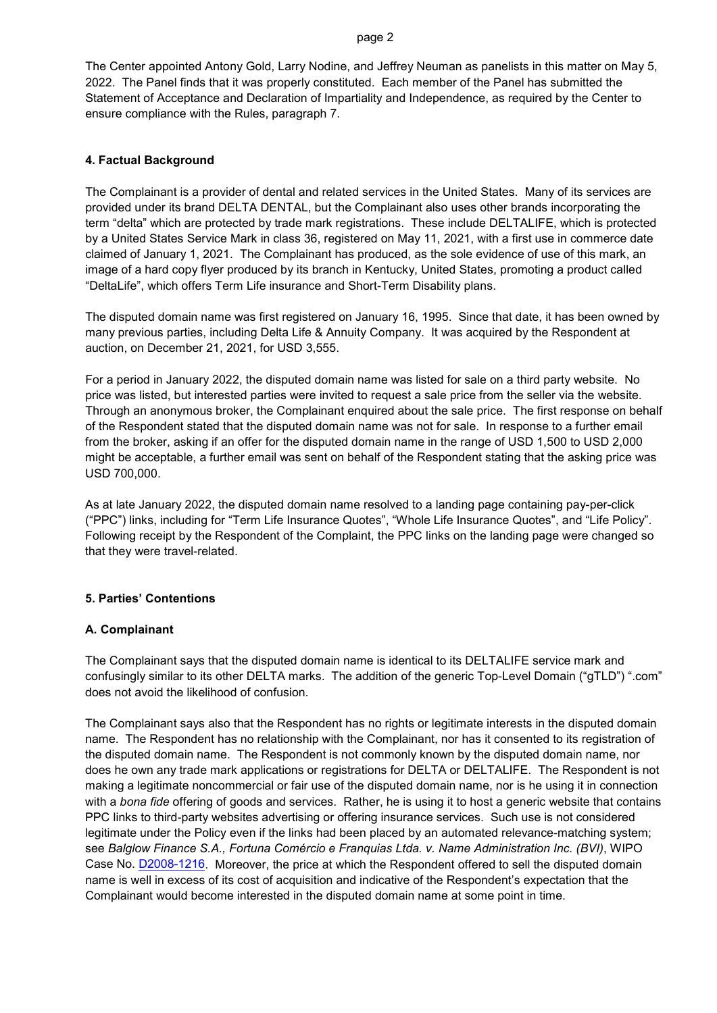The Center appointed Antony Gold, Larry Nodine, and Jeffrey Neuman as panelists in this matter on May 5, 2022. The Panel finds that it was properly constituted. Each member of the Panel has submitted the Statement of Acceptance and Declaration of Impartiality and Independence, as required by the Center to ensure compliance with the Rules, paragraph 7.

## **4. Factual Background**

The Complainant is a provider of dental and related services in the United States. Many of its services are provided under its brand DELTA DENTAL, but the Complainant also uses other brands incorporating the term "delta" which are protected by trade mark registrations. These include DELTALIFE, which is protected by a United States Service Mark in class 36, registered on May 11, 2021, with a first use in commerce date claimed of January 1, 2021. The Complainant has produced, as the sole evidence of use of this mark, an image of a hard copy flyer produced by its branch in Kentucky, United States, promoting a product called "DeltaLife", which offers Term Life insurance and Short-Term Disability plans.

The disputed domain name was first registered on January 16, 1995. Since that date, it has been owned by many previous parties, including Delta Life & Annuity Company. It was acquired by the Respondent at auction, on December 21, 2021, for USD 3,555.

For a period in January 2022, the disputed domain name was listed for sale on a third party website. No price was listed, but interested parties were invited to request a sale price from the seller via the website. Through an anonymous broker, the Complainant enquired about the sale price. The first response on behalf of the Respondent stated that the disputed domain name was not for sale. In response to a further email from the broker, asking if an offer for the disputed domain name in the range of USD 1,500 to USD 2,000 might be acceptable, a further email was sent on behalf of the Respondent stating that the asking price was USD 700,000.

As at late January 2022, the disputed domain name resolved to a landing page containing pay-per-click ("PPC") links, including for "Term Life Insurance Quotes", "Whole Life Insurance Quotes", and "Life Policy". Following receipt by the Respondent of the Complaint, the PPC links on the landing page were changed so that they were travel-related.

# **5. Parties' Contentions**

### **A. Complainant**

The Complainant says that the disputed domain name is identical to its DELTALIFE service mark and confusingly similar to its other DELTA marks. The addition of the generic Top-Level Domain ("gTLD") ".com" does not avoid the likelihood of confusion.

The Complainant says also that the Respondent has no rights or legitimate interests in the disputed domain name. The Respondent has no relationship with the Complainant, nor has it consented to its registration of the disputed domain name. The Respondent is not commonly known by the disputed domain name, nor does he own any trade mark applications or registrations for DELTA or DELTALIFE. The Respondent is not making a legitimate noncommercial or fair use of the disputed domain name, nor is he using it in connection with a *bona fide* offering of goods and services. Rather, he is using it to host a generic website that contains PPC links to third-party websites advertising or offering insurance services. Such use is not considered legitimate under the Policy even if the links had been placed by an automated relevance-matching system; see *Balglow Finance S.A., Fortuna Comércio e Franquias Ltda. v. Name Administration Inc. (BVI)*, WIPO Case No. [D2008-1216.](https://www.wipo.int/amc/en/domains/decisions/html/2008/d2008-1216.html) Moreover, the price at which the Respondent offered to sell the disputed domain name is well in excess of its cost of acquisition and indicative of the Respondent's expectation that the Complainant would become interested in the disputed domain name at some point in time.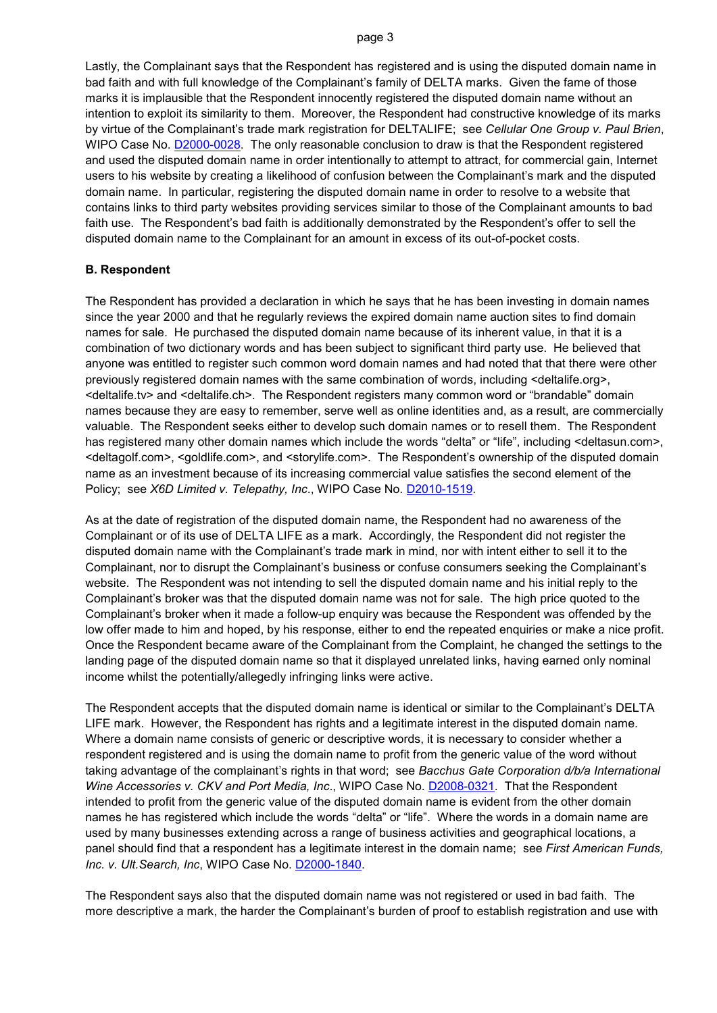Lastly, the Complainant says that the Respondent has registered and is using the disputed domain name in bad faith and with full knowledge of the Complainant's family of DELTA marks. Given the fame of those marks it is implausible that the Respondent innocently registered the disputed domain name without an intention to exploit its similarity to them. Moreover, the Respondent had constructive knowledge of its marks by virtue of the Complainant's trade mark registration for DELTALIFE; see *Cellular One Group v. Paul Brien*, WIPO Case No. [D2000-0028.](https://www.wipo.int/amc/en/domains/decisions/html/2000/d2000-0028.html) The only reasonable conclusion to draw is that the Respondent registered and used the disputed domain name in order intentionally to attempt to attract, for commercial gain, Internet users to his website by creating a likelihood of confusion between the Complainant's mark and the disputed domain name. In particular, registering the disputed domain name in order to resolve to a website that contains links to third party websites providing services similar to those of the Complainant amounts to bad faith use. The Respondent's bad faith is additionally demonstrated by the Respondent's offer to sell the disputed domain name to the Complainant for an amount in excess of its out-of-pocket costs.

#### **B. Respondent**

The Respondent has provided a declaration in which he says that he has been investing in domain names since the year 2000 and that he regularly reviews the expired domain name auction sites to find domain names for sale. He purchased the disputed domain name because of its inherent value, in that it is a combination of two dictionary words and has been subject to significant third party use. He believed that anyone was entitled to register such common word domain names and had noted that that there were other previously registered domain names with the same combination of words, including <deltalife.org>, <deltalife.tv> and <deltalife.ch>. The Respondent registers many common word or "brandable" domain names because they are easy to remember, serve well as online identities and, as a result, are commercially valuable. The Respondent seeks either to develop such domain names or to resell them. The Respondent has registered many other domain names which include the words "delta" or "life", including <deltasun.com>, <deltagolf.com>, <goldlife.com>, and <storylife.com>. The Respondent's ownership of the disputed domain name as an investment because of its increasing commercial value satisfies the second element of the Policy; see *X6D Limited v. Telepathy, Inc*., WIPO Case No. [D2010-1519.](https://www.wipo.int/amc/en/domains/decisions/html/2010/d2010-1519.html)

As at the date of registration of the disputed domain name, the Respondent had no awareness of the Complainant or of its use of DELTA LIFE as a mark. Accordingly, the Respondent did not register the disputed domain name with the Complainant's trade mark in mind, nor with intent either to sell it to the Complainant, nor to disrupt the Complainant's business or confuse consumers seeking the Complainant's website. The Respondent was not intending to sell the disputed domain name and his initial reply to the Complainant's broker was that the disputed domain name was not for sale. The high price quoted to the Complainant's broker when it made a follow-up enquiry was because the Respondent was offended by the low offer made to him and hoped, by his response, either to end the repeated enquiries or make a nice profit. Once the Respondent became aware of the Complainant from the Complaint, he changed the settings to the landing page of the disputed domain name so that it displayed unrelated links, having earned only nominal income whilst the potentially/allegedly infringing links were active.

The Respondent accepts that the disputed domain name is identical or similar to the Complainant's DELTA LIFE mark. However, the Respondent has rights and a legitimate interest in the disputed domain name. Where a domain name consists of generic or descriptive words, it is necessary to consider whether a respondent registered and is using the domain name to profit from the generic value of the word without taking advantage of the complainant's rights in that word; see *Bacchus Gate Corporation d/b/a International Wine Accessories v. CKV and Port Media, Inc*., WIPO Case No. [D2008-0321.](https://www.wipo.int/amc/en/domains/decisions/html/2008/d2008-0321.html) That the Respondent intended to profit from the generic value of the disputed domain name is evident from the other domain names he has registered which include the words "delta" or "life". Where the words in a domain name are used by many businesses extending across a range of business activities and geographical locations, a panel should find that a respondent has a legitimate interest in the domain name; see *First American Funds, Inc. v. Ult.Search, Inc*, WIPO Case No. [D2000-1840.](https://www.wipo.int/amc/en/domains/decisions/html/2000/d2000-1840.html)

The Respondent says also that the disputed domain name was not registered or used in bad faith. The more descriptive a mark, the harder the Complainant's burden of proof to establish registration and use with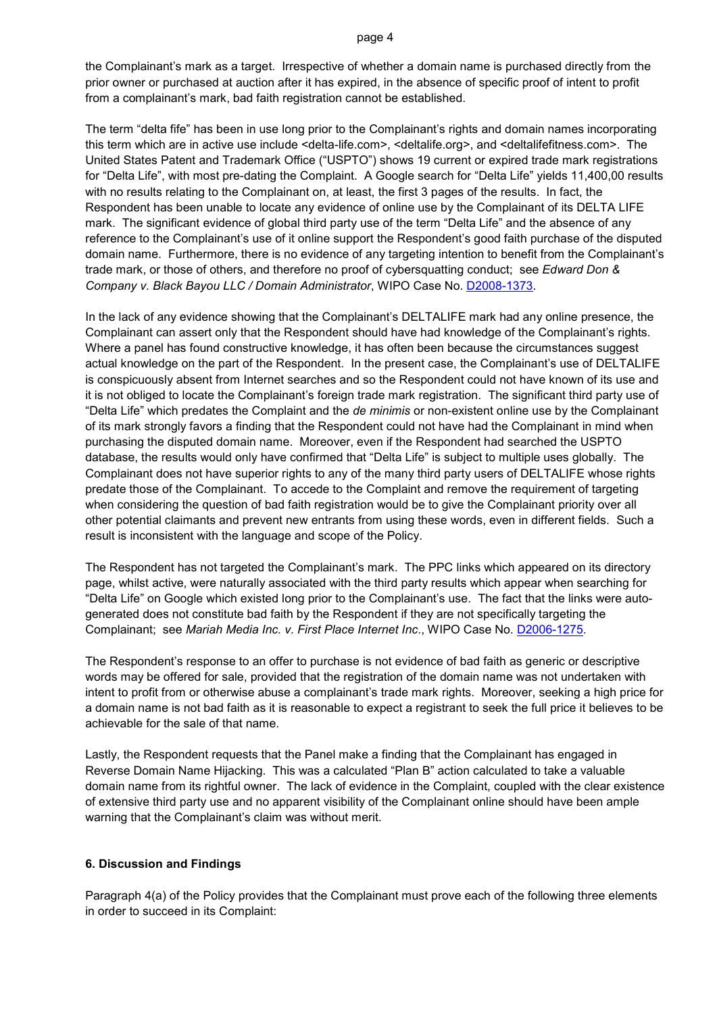the Complainant's mark as a target. Irrespective of whether a domain name is purchased directly from the prior owner or purchased at auction after it has expired, in the absence of specific proof of intent to profit from a complainant's mark, bad faith registration cannot be established.

The term "delta fife" has been in use long prior to the Complainant's rights and domain names incorporating this term which are in active use include <delta-life.com>, <deltalife.org>, and <deltalifefitness.com>. The United States Patent and Trademark Office ("USPTO") shows 19 current or expired trade mark registrations for "Delta Life", with most pre-dating the Complaint. A Google search for "Delta Life" yields 11,400,00 results with no results relating to the Complainant on, at least, the first 3 pages of the results. In fact, the Respondent has been unable to locate any evidence of online use by the Complainant of its DELTA LIFE mark. The significant evidence of global third party use of the term "Delta Life" and the absence of any reference to the Complainant's use of it online support the Respondent's good faith purchase of the disputed domain name. Furthermore, there is no evidence of any targeting intention to benefit from the Complainant's trade mark, or those of others, and therefore no proof of cybersquatting conduct; see *Edward Don & Company v. Black Bayou LLC / Domain Administrator*, WIPO Case No. [D2008-1373.](https://www.wipo.int/amc/en/domains/decisions/html/2008/d2008-1373.html)

In the lack of any evidence showing that the Complainant's DELTALIFE mark had any online presence, the Complainant can assert only that the Respondent should have had knowledge of the Complainant's rights. Where a panel has found constructive knowledge, it has often been because the circumstances suggest actual knowledge on the part of the Respondent. In the present case, the Complainant's use of DELTALIFE is conspicuously absent from Internet searches and so the Respondent could not have known of its use and it is not obliged to locate the Complainant's foreign trade mark registration. The significant third party use of "Delta Life" which predates the Complaint and the *de minimis* or non-existent online use by the Complainant of its mark strongly favors a finding that the Respondent could not have had the Complainant in mind when purchasing the disputed domain name. Moreover, even if the Respondent had searched the USPTO database, the results would only have confirmed that "Delta Life" is subject to multiple uses globally. The Complainant does not have superior rights to any of the many third party users of DELTALIFE whose rights predate those of the Complainant. To accede to the Complaint and remove the requirement of targeting when considering the question of bad faith registration would be to give the Complainant priority over all other potential claimants and prevent new entrants from using these words, even in different fields. Such a result is inconsistent with the language and scope of the Policy.

The Respondent has not targeted the Complainant's mark. The PPC links which appeared on its directory page, whilst active, were naturally associated with the third party results which appear when searching for "Delta Life" on Google which existed long prior to the Complainant's use. The fact that the links were autogenerated does not constitute bad faith by the Respondent if they are not specifically targeting the Complainant; see *Mariah Media Inc. v. First Place Internet Inc*., WIPO Case No. [D2006-1275.](https://www.wipo.int/amc/en/domains/decisions/html/2006/d2006-1275.html)

The Respondent's response to an offer to purchase is not evidence of bad faith as generic or descriptive words may be offered for sale, provided that the registration of the domain name was not undertaken with intent to profit from or otherwise abuse a complainant's trade mark rights. Moreover, seeking a high price for a domain name is not bad faith as it is reasonable to expect a registrant to seek the full price it believes to be achievable for the sale of that name.

Lastly, the Respondent requests that the Panel make a finding that the Complainant has engaged in Reverse Domain Name Hijacking. This was a calculated "Plan B" action calculated to take a valuable domain name from its rightful owner. The lack of evidence in the Complaint, coupled with the clear existence of extensive third party use and no apparent visibility of the Complainant online should have been ample warning that the Complainant's claim was without merit.

### **6. Discussion and Findings**

Paragraph 4(a) of the Policy provides that the Complainant must prove each of the following three elements in order to succeed in its Complaint: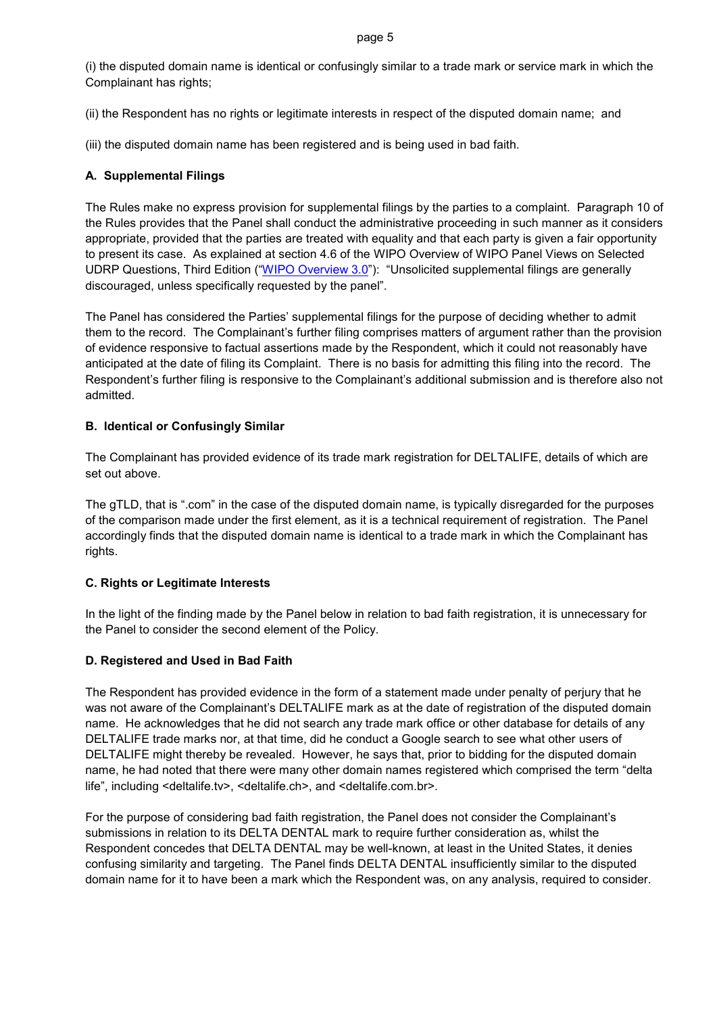(i) the disputed domain name is identical or confusingly similar to a trade mark or service mark in which the Complainant has rights;

(ii) the Respondent has no rights or legitimate interests in respect of the disputed domain name; and

(iii) the disputed domain name has been registered and is being used in bad faith.

## **A. Supplemental Filings**

The Rules make no express provision for supplemental filings by the parties to a complaint. Paragraph 10 of the Rules provides that the Panel shall conduct the administrative proceeding in such manner as it considers appropriate, provided that the parties are treated with equality and that each party is given a fair opportunity to present its case. As explained at section 4.6 of the WIPO Overview of WIPO Panel Views on Selected UDRP Questions, Third Edition (["WIPO Overview 3.0"](https://www.wipo.int/amc/en/domains/search/overview3.0/)): "Unsolicited supplemental filings are generally discouraged, unless specifically requested by the panel".

The Panel has considered the Parties' supplemental filings for the purpose of deciding whether to admit them to the record. The Complainant's further filing comprises matters of argument rather than the provision of evidence responsive to factual assertions made by the Respondent, which it could not reasonably have anticipated at the date of filing its Complaint. There is no basis for admitting this filing into the record. The Respondent's further filing is responsive to the Complainant's additional submission and is therefore also not admitted.

## **B. Identical or Confusingly Similar**

The Complainant has provided evidence of its trade mark registration for DELTALIFE, details of which are set out above.

The gTLD, that is ".com" in the case of the disputed domain name, is typically disregarded for the purposes of the comparison made under the first element, as it is a technical requirement of registration. The Panel accordingly finds that the disputed domain name is identical to a trade mark in which the Complainant has rights.

### **C. Rights or Legitimate Interests**

In the light of the finding made by the Panel below in relation to bad faith registration, it is unnecessary for the Panel to consider the second element of the Policy.

### **D. Registered and Used in Bad Faith**

The Respondent has provided evidence in the form of a statement made under penalty of perjury that he was not aware of the Complainant's DELTALIFE mark as at the date of registration of the disputed domain name. He acknowledges that he did not search any trade mark office or other database for details of any DELTALIFE trade marks nor, at that time, did he conduct a Google search to see what other users of DELTALIFE might thereby be revealed. However, he says that, prior to bidding for the disputed domain name, he had noted that there were many other domain names registered which comprised the term "delta life", including <deltalife.tv>, <deltalife.ch>, and <deltalife.com.br>.

For the purpose of considering bad faith registration, the Panel does not consider the Complainant's submissions in relation to its DELTA DENTAL mark to require further consideration as, whilst the Respondent concedes that DELTA DENTAL may be well-known, at least in the United States, it denies confusing similarity and targeting. The Panel finds DELTA DENTAL insufficiently similar to the disputed domain name for it to have been a mark which the Respondent was, on any analysis, required to consider.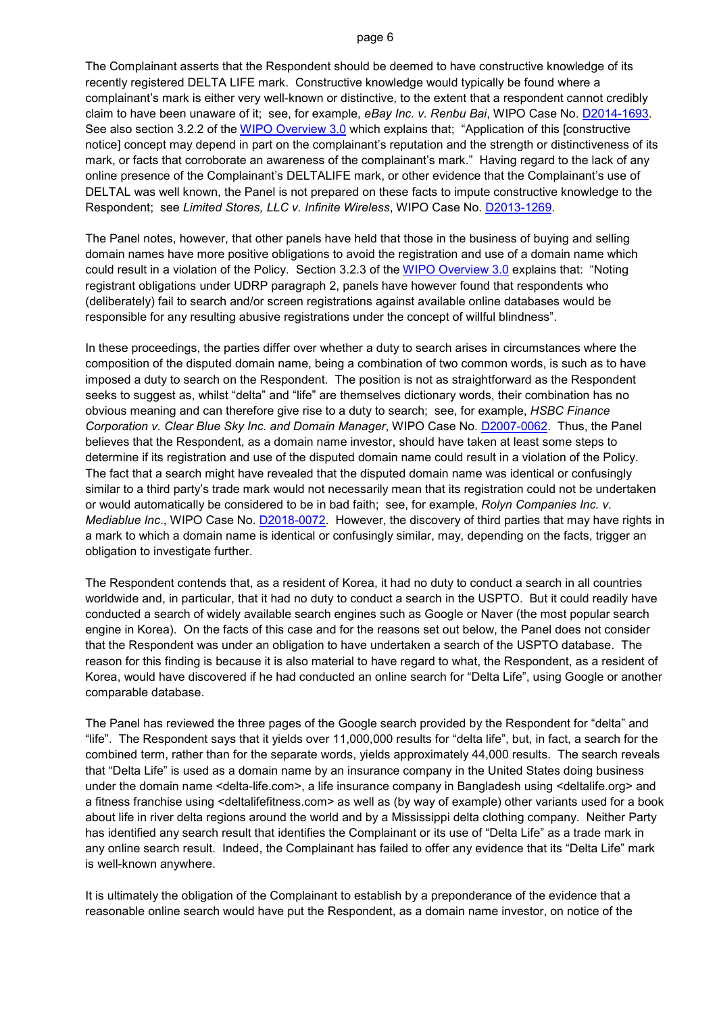The Complainant asserts that the Respondent should be deemed to have constructive knowledge of its recently registered DELTA LIFE mark. Constructive knowledge would typically be found where a complainant's mark is either very well-known or distinctive, to the extent that a respondent cannot credibly claim to have been unaware of it; see, for example, *eBay Inc. v. Renbu Bai*, WIPO Case No. [D2014-1693.](https://www.wipo.int/amc/en/domains/search/text.jsp?case=D2014-1693) See also section 3.2.2 of the [WIPO Overview 3.0](https://www.wipo.int/amc/en/domains/search/overview3.0/) which explains that; "Application of this [constructive notice] concept may depend in part on the complainant's reputation and the strength or distinctiveness of its mark, or facts that corroborate an awareness of the complainant's mark." Having regard to the lack of any online presence of the Complainant's DELTALIFE mark, or other evidence that the Complainant's use of DELTAL was well known, the Panel is not prepared on these facts to impute constructive knowledge to the Respondent; see *Limited Stores, LLC v. Infinite Wireless*, WIPO Case No. [D2013-1269.](https://www.wipo.int/amc/en/domains/search/text.jsp?case=D2013-1269)

The Panel notes, however, that other panels have held that those in the business of buying and selling domain names have more positive obligations to avoid the registration and use of a domain name which could result in a violation of the Policy. Section 3.2.3 of the [WIPO Overview 3.0](https://www.wipo.int/amc/en/domains/search/overview3.0/) explains that: "Noting registrant obligations under UDRP paragraph 2, panels have however found that respondents who (deliberately) fail to search and/or screen registrations against available online databases would be responsible for any resulting abusive registrations under the concept of willful blindness".

In these proceedings, the parties differ over whether a duty to search arises in circumstances where the composition of the disputed domain name, being a combination of two common words, is such as to have imposed a duty to search on the Respondent. The position is not as straightforward as the Respondent seeks to suggest as, whilst "delta" and "life" are themselves dictionary words, their combination has no obvious meaning and can therefore give rise to a duty to search; see, for example, *HSBC Finance Corporation v. Clear Blue Sky Inc. and Domain Manager*, WIPO Case No. [D2007-0062.](https://www.wipo.int/amc/en/domains/decisions/html/2007/d2007-0062.html) Thus, the Panel believes that the Respondent, as a domain name investor, should have taken at least some steps to determine if its registration and use of the disputed domain name could result in a violation of the Policy. The fact that a search might have revealed that the disputed domain name was identical or confusingly similar to a third party's trade mark would not necessarily mean that its registration could not be undertaken or would automatically be considered to be in bad faith; see, for example, *Rolyn Companies Inc. v. Mediablue Inc*., WIPO Case No. [D2018-0072.](https://www.wipo.int/amc/en/domains/search/text.jsp?case=D2018-0072) However, the discovery of third parties that may have rights in a mark to which a domain name is identical or confusingly similar, may, depending on the facts, trigger an obligation to investigate further.

The Respondent contends that, as a resident of Korea, it had no duty to conduct a search in all countries worldwide and, in particular, that it had no duty to conduct a search in the USPTO. But it could readily have conducted a search of widely available search engines such as Google or Naver (the most popular search engine in Korea). On the facts of this case and for the reasons set out below, the Panel does not consider that the Respondent was under an obligation to have undertaken a search of the USPTO database. The reason for this finding is because it is also material to have regard to what, the Respondent, as a resident of Korea, would have discovered if he had conducted an online search for "Delta Life", using Google or another comparable database.

The Panel has reviewed the three pages of the Google search provided by the Respondent for "delta" and "life". The Respondent says that it yields over 11,000,000 results for "delta life", but, in fact, a search for the combined term, rather than for the separate words, yields approximately 44,000 results. The search reveals that "Delta Life" is used as a domain name by an insurance company in the United States doing business under the domain name <delta-life.com>, a life insurance company in Bangladesh using <deltalife.org> and a fitness franchise using <deltalifefitness.com> as well as (by way of example) other variants used for a book about life in river delta regions around the world and by a Mississippi delta clothing company. Neither Party has identified any search result that identifies the Complainant or its use of "Delta Life" as a trade mark in any online search result. Indeed, the Complainant has failed to offer any evidence that its "Delta Life" mark is well-known anywhere.

It is ultimately the obligation of the Complainant to establish by a preponderance of the evidence that a reasonable online search would have put the Respondent, as a domain name investor, on notice of the